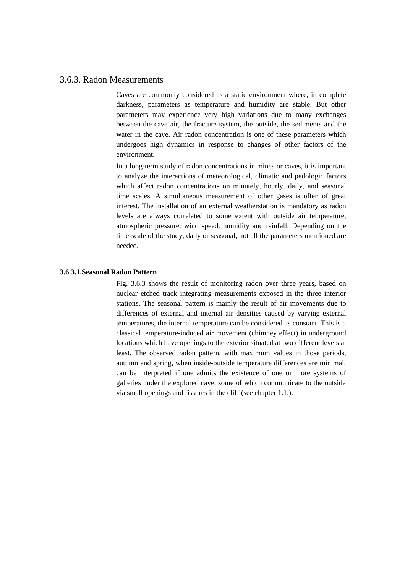## 3.6.3. Radon Measurements

Caves are commonly considered as a static environment where, in complete darkness, parameters as temperature and humidity are stable. But other parameters may experience very high variations due to many exchanges between the cave air, the fracture system, the outside, the sediments and the water in the cave. Air radon concentration is one of these parameters which undergoes high dynamics in response to changes of other factors of the environment.

In a long-term study of radon concentrations in mines or caves, it is important to analyze the interactions of meteorological, climatic and pedologic factors which affect radon concentrations on minutely, hourly, daily, and seasonal time scales. A simultaneous measurement of other gases is often of great interest. The installation of an external weatherstation is mandatory as radon levels are always correlated to some extent with outside air temperature, atmospheric pressure, wind speed, humidity and rainfall. Depending on the time-scale of the study, daily or seasonal, not all the parameters mentioned are needed.

## **3.6.3.1.Seasonal Radon Pattern**

Fig. 3.6.3 shows the result of monitoring radon over three years, based on nuclear etched track integrating measurements exposed in the three interior stations. The seasonal pattern is mainly the result of air movements due to differences of external and internal air densities caused by varying external temperatures, the internal temperature can be considered as constant. This is a classical temperature-induced air movement (chimney effect) in underground locations which have openings to the exterior situated at two different levels at least. The observed radon pattern, with maximum values in those periods, autumn and spring, when inside-outside temperature differences are minimal, can be interpreted if one admits the existence of one or more systems of galleries under the explored cave, some of which communicate to the outside via small openings and fissures in the cliff (see chapter 1.1.).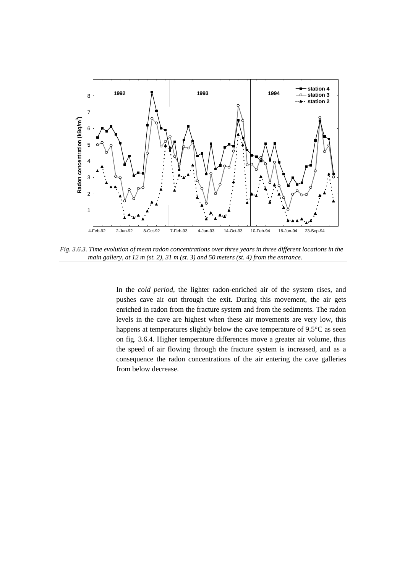

*Fig. 3.6.3. Time evolution of mean radon concentrations over three years in three different locations in the main gallery, at 12 m (st. 2), 31 m (st. 3) and 50 meters (st. 4) from the entrance.*

In the *cold period*, the lighter radon-enriched air of the system rises, and pushes cave air out through the exit. During this movement, the air gets enriched in radon from the fracture system and from the sediments. The radon levels in the cave are highest when these air movements are very low, this happens at temperatures slightly below the cave temperature of 9.5°C as seen on fig. 3.6.4. Higher temperature differences move a greater air volume, thus the speed of air flowing through the fracture system is increased, and as a consequence the radon concentrations of the air entering the cave galleries from below decrease.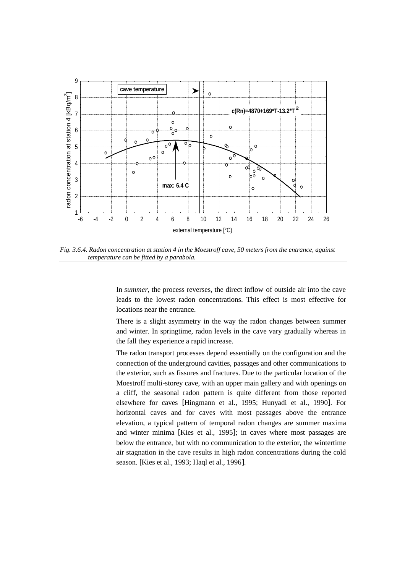

*Fig. 3.6.4. Radon concentration at station 4 in the Moestroff cave, 50 meters from the entrance, against temperature can be fitted by a parabola.*

In *summer*, the process reverses, the direct inflow of outside air into the cave leads to the lowest radon concentrations. This effect is most effective for locations near the entrance.

There is a slight asymmetry in the way the radon changes between summer and winter. In springtime, radon levels in the cave vary gradually whereas in the fall they experience a rapid increase.

The radon transport processes depend essentially on the configuration and the connection of the underground cavities, passages and other communications to the exterior, such as fissures and fractures. Due to the particular location of the Moestroff multi-storey cave, with an upper main gallery and with openings on a cliff, the seasonal radon pattern is quite different from those reported elsewhere for caves [Hingmann et al., 1995; Hunyadi et al., 1990]. For horizontal caves and for caves with most passages above the entrance elevation, a typical pattern of temporal radon changes are summer maxima and winter minima [Kies et al., 1995]; in caves where most passages are below the entrance, but with no communication to the exterior, the wintertime air stagnation in the cave results in high radon concentrations during the cold season. [Kies et al., 1993; Haql et al., 1996].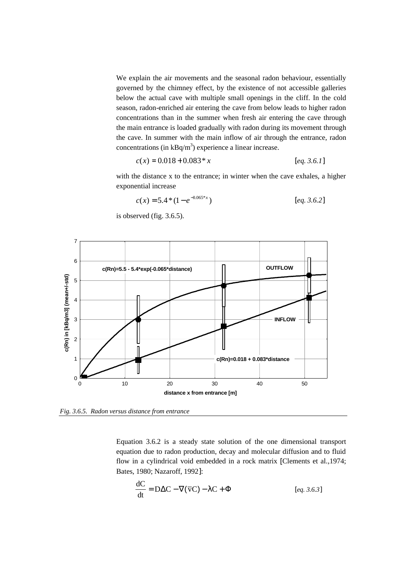We explain the air movements and the seasonal radon behaviour, essentially governed by the chimney effect, by the existence of not accessible galleries below the actual cave with multiple small openings in the cliff. In the cold season, radon-enriched air entering the cave from below leads to higher radon concentrations than in the summer when fresh air entering the cave through the main entrance is loaded gradually with radon during its movement through the cave. In summer with the main inflow of air through the entrance, radon concentrations (in  $kBq/m<sup>3</sup>$ ) experience a linear increase.

$$
c(x) = 0.018 + 0.083 * x
$$
 [eq. 3.6.1]

with the distance x to the entrance; in winter when the cave exhales, a higher exponential increase

$$
c(x) = 5.4 * (1 - e^{-0.065 * x})
$$
 [eq. 3.6.2]

is observed (fig. 3.6.5).



*Fig. 3.6.5. Radon versus distance from entrance*

Equation 3.6.2 is a steady state solution of the one dimensional transport equation due to radon production, decay and molecular diffusion and to fluid flow in a cylindrical void embedded in a rock matrix [Clements et al.,1974; Bates, 1980; Nazaroff, 1992]:

$$
\frac{dC}{dt} = D\Delta C - \nabla(\overline{v}C) - \lambda C + \Phi
$$
 [eq. 3.6.3]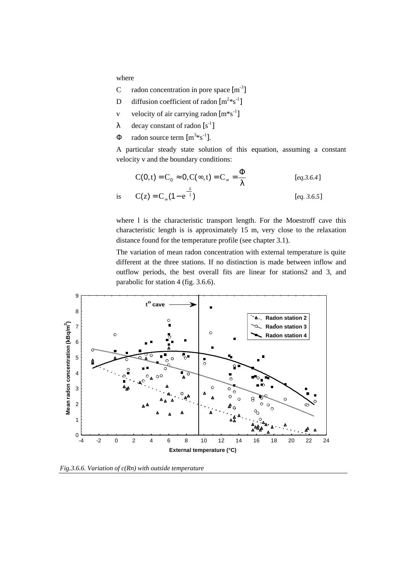where

- C radon concentration in pore space  $[m^{-3}]$
- D diffusion coefficient of radon  $[m^{2}*s^{-1}]$
- v velocity of air carrying radon  $[m*s^{-1}]$
- λ decay constant of radon  $[s^{-1}]$
- $\Phi$  radon source term  $[m^{3}*s^{-1}]$ .

A particular steady state solution of this equation, assuming a constant velocity v and the boundary conditions:

$$
C(0, t) = C_0 \approx 0, C(\infty, t) = C_{\infty} = \frac{\Phi}{\lambda}
$$
 [eq.3.6.4]  
is 
$$
C(z) = C_{\infty} (1 - e^{-\frac{z}{l}})
$$
 [eq. 3.6.5]

where l is the characteristic transport length. For the Moestroff cave this characteristic length is is approximately 15 m, very close to the relaxation distance found for the temperature profile (see chapter 3.1).

The variation of mean radon concentration with external temperature is quite different at the three stations. If no distinction is made between inflow and outflow periods, the best overall fits are linear for stations2 and 3, and parabolic for station 4 (fig. 3.6.6).



*Fig.3.6.6. Variation of c(Rn) with outside temperature*